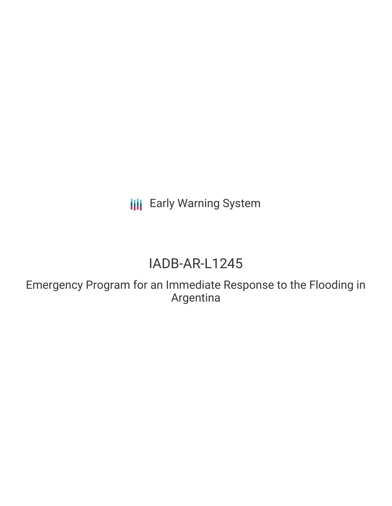**III** Early Warning System

# IADB-AR-L1245

Emergency Program for an Immediate Response to the Flooding in Argentina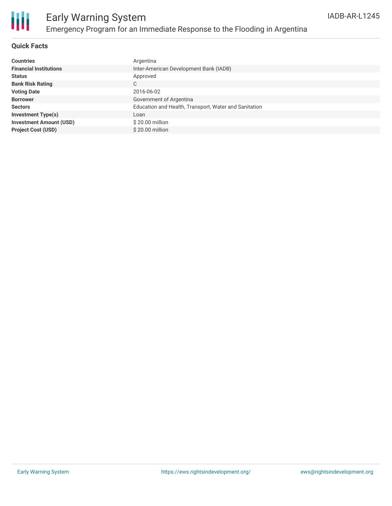

#### **Quick Facts**

| <b>Countries</b>               | Argentina                                             |
|--------------------------------|-------------------------------------------------------|
| <b>Financial Institutions</b>  | Inter-American Development Bank (IADB)                |
| <b>Status</b>                  | Approved                                              |
| <b>Bank Risk Rating</b>        | C                                                     |
| <b>Voting Date</b>             | 2016-06-02                                            |
| <b>Borrower</b>                | Government of Argentina                               |
| <b>Sectors</b>                 | Education and Health, Transport, Water and Sanitation |
| <b>Investment Type(s)</b>      | Loan                                                  |
| <b>Investment Amount (USD)</b> | \$20.00 million                                       |
| <b>Project Cost (USD)</b>      | \$20,00 million                                       |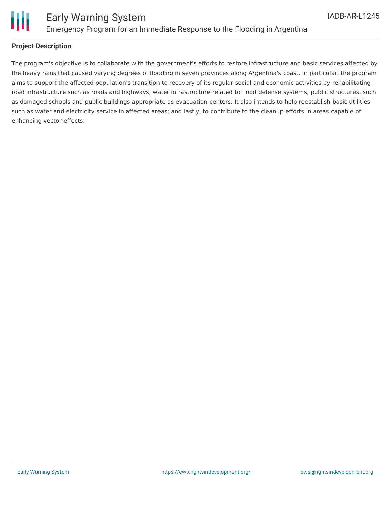

#### **Project Description**

The program's objective is to collaborate with the government's efforts to restore infrastructure and basic services affected by the heavy rains that caused varying degrees of flooding in seven provinces along Argentina's coast. In particular, the program aims to support the affected population's transition to recovery of its regular social and economic activities by rehabilitating road infrastructure such as roads and highways; water infrastructure related to flood defense systems; public structures, such as damaged schools and public buildings appropriate as evacuation centers. It also intends to help reestablish basic utilities such as water and electricity service in affected areas; and lastly, to contribute to the cleanup efforts in areas capable of enhancing vector effects.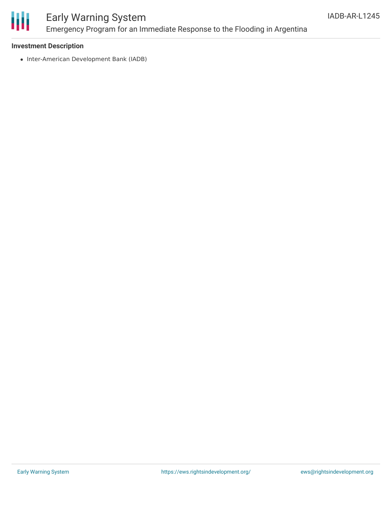

## Early Warning System Emergency Program for an Immediate Response to the Flooding in Argentina

#### **Investment Description**

• Inter-American Development Bank (IADB)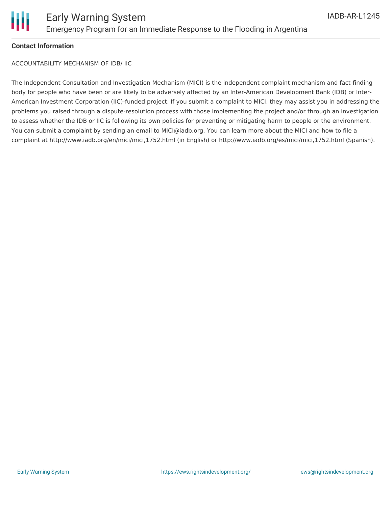

#### **Contact Information**

ACCOUNTABILITY MECHANISM OF IDB/ IIC

The Independent Consultation and Investigation Mechanism (MICI) is the independent complaint mechanism and fact-finding body for people who have been or are likely to be adversely affected by an Inter-American Development Bank (IDB) or Inter-American Investment Corporation (IIC)-funded project. If you submit a complaint to MICI, they may assist you in addressing the problems you raised through a dispute-resolution process with those implementing the project and/or through an investigation to assess whether the IDB or IIC is following its own policies for preventing or mitigating harm to people or the environment. You can submit a complaint by sending an email to MICI@iadb.org. You can learn more about the MICI and how to file a complaint at http://www.iadb.org/en/mici/mici,1752.html (in English) or http://www.iadb.org/es/mici/mici,1752.html (Spanish).